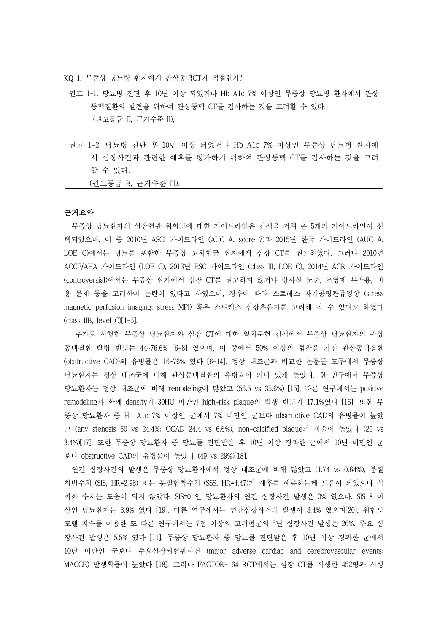KQ 1. 무증상 당뇨병 환자에게 관상동맥CT가 적절한가?

권고 1-1. 당뇨병 진단 후 10년 이상 되었거나 Hb A1c 7% 이상인 무증상 당뇨병 환자에서 관상 동맥질환의 발견을 위하여 관상동맥 CT를 검사하는 것을 고려할 수 있다. (권고등급 B, 근거수준 II), 권고 1-2. 당뇨병 진단 후 10년 이상 되었거나 Hb A1c 7% 이상인 무증상 당뇨병 환자에

서 심장사건과 관련한 예후를 평가하기 위하여 관상동맥 CT를 검사하는 것을 고려 할 수 있다. (권고등급 B, 근거수준 III).

### 근거요약

무증상 당뇨환자의 심장혈관 위험도에 대한 가이드라인은 검색을 거쳐 총 5개의 가이드라인이 선 택되었으며, 이 중 2010년 ASCI 가이드라인 (AUC A, score 7)과 2015년 한국 가이드라인 (AUC A, LOE C)에서는 당뇨를 포함한 무증상 고위험군 환자에게 심장 CT를 권고하였다. 그러나 2010년 ACCF/AHA 가이드라인 (LOE C), 2013년 ESC 가이드라인 (class III, LOE C), 2014년 ACR 가이드라인 (controversial)에서는 무증상 환자에서 심장 CT를 권고하지 않거나 방사선 노출, 조영제 부작용, 비 용 문제 등을 고려하여 논란이 있다고 하였으며, 경우에 따라 스트레스 자기공명관류영상 (stress magnetic perfusion imaging; stress MPI) 혹은 스트레스 심장초음파를 고려해 볼 수 있다고 하였다 (class IIB, level C)[1-5].

추가로 시행한 무증상 당뇨환자와 심장 CT에 대한 일차문헌 검색에서 무증상 당뇨환자의 관상 동맥질환 발병 빈도는 44~76.6% [6-8] 였으며, 이 중에서 50% 이상의 협착을 가진 관상동맥질환 (obstructive CAD)의 유병률은 16~76% 였다 [6-14]. 정상 대조군과 비교한 논문들 모두에서 무증상 당뇨환자는 정상 대조군에 비해 관상동맥질환의 유병률이 의미 있게 높았다. 한 연구에서 무증상 당뇨환자는 정상 대조군에 비해 remodeling이 많았고 (56.5 vs 35.6%) [15], 다른 연구에서는 positive remodeling과 함께 density가 30HU 미만인 high-risk plaque의 발생 빈도가 17.1%였다 [16]. 또한 무 증상 당뇨환자 중 Hb A1c 7% 이상인 군에서 7% 미만인 군보다 obstructive CAD의 유병률이 높았 고 (any stenosis 60 vs 24.4%; OCAD 24.4 vs 6.6%), non-calcified plaque의 비율이 높았다 (20 vs 3.4%)[17]. 또한 무증상 당뇨환자 중 당뇨를 진단받은 후 10년 이상 경과한 군에서 10년 미만인 군 보다 obstructive CAD의 유병룰이 높았다 (49 vs 29%)[18].

연간 심장사건의 발생은 무증상 당뇨환자에서 정상 대조군에 비해 많았고 (1.74 vs 0.64%), 분절 침범수치 (SIS, HR=2.98) 또는 분절혐착수치 (SSS, HR=4.47)가 예후를 예측하는데 도움이 되었으나 석 회화 수치는 도움이 되지 않았다. SIS=0 인 당뇨환자의 연간 심장사건 발생은 0% 였으나, SIS 8 이 상인 당뇨환자는 3.9% 였다 [19]. 다른 연구에서는 연간심장사건의 발생이 3.4% 였으며[20], 위험도 모델 지수를 이용한 또 다른 연구에서는 7점 이상의 고위험군의 5년 심장사건 발생은 26%, 주요 심 장사건 발생은 5.5% 였다 [11]. 무증상 당뇨환자 중 당뇨를 진단받은 후 10년 이상 경과한 군에서 10년 미만인 군보다 주요심장뇌혈관사건 (major adverse cardiac and cerebrovascular events; MACCE) 발생확률이 높았다 [18]. 그러나 FACTOR- 64 RCT에서는 심장 CT를 시행한 452명과 시행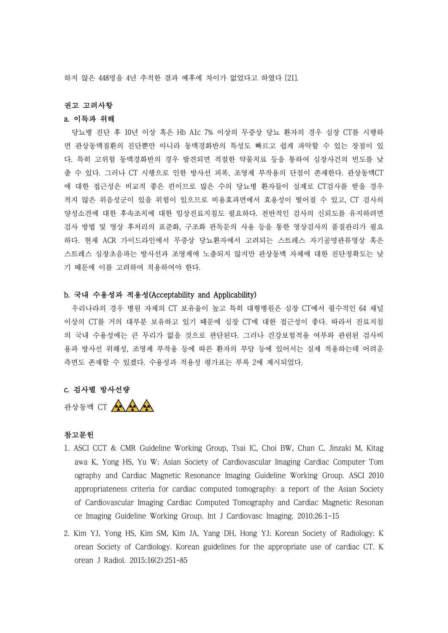하지 않은 448명을 4년 추적한 결과 예후에 차이가 없었다고 하였다 [21].

#### 권고 고려사항

### a. 이득과 위해

당뇨병 진단 후 10년 이상 혹은 Hb A1c 7% 이상의 무증상 당뇨 환자의 경우 심장 CT를 시행하 면 관상동맥질환의 진단뿐만 아니라 동맥경화반의 특성도 빠르고 쉽게 파악할 수 있는 장점이 있 다. 특히 고위험 동맥경화반의 경우 발견되면 적절한 약물치료 등을 통하여 심장사건의 빈도를 낮 출 수 있다. 그러나 CT 시행으로 인한 방사선 피폭, 조영제 부작용의 단점이 존재한다. 관상동맥CT 에 대한 접근성은 비교적 좋은 편이므로 많은 수의 당뇨병 환자들이 실제로 CT검사를 받을 경우 적지 않은 위음성군이 있을 위험이 있으므로 비용효과면에서 효용성이 떨어질 수 있고, CT 검사의 양성소견에 대한 후속조치에 대한 임상진료지침도 필요하다. 전반적인 검사의 신뢰도를 유지하려면 검사 방법 및 영상 후처리의 표준화, 구조화 판독문의 사용 등을 통한 영상검사의 품질관리가 필요 하다. 현재 ACR 가이드라인에서 무증상 당뇨환자에서 고려되는 스트레스 자기공명관류영상 혹은 스트레스 심장초음파는 방사선과 조영제에 노출되지 않지만 관상동맥 자체에 대한 진단정확도는 낮 기 때문에 이를 고려하여 적용하여야 한다.

## b. 국내 수용성과 적용성(Acceptability and Applicability)

우리나라의 경우 병원 자체의 CT 보유율이 높고 특히 대형병원은 심장 CT에서 필수적인 64 채널 이상의 CT를 거의 대부분 보유하고 있기 때문에 심장 CT에 대한 접근성이 좋다. 따라서 진료지침 의 국내 수용성에는 큰 무리가 없을 것으로 판단된다. 그러나 건강보험적용 여부와 관련된 검사비 용과 방사선 위해성, 조영제 부작용 등에 따른 환자의 부담 등에 있어서는 실제 적용하는데 어려운 측면도 존재할 수 있겠다. 수용성과 적용성 평가표는 부록 2에 제시되었다.

# c. 검사별 방사선량

관상동맥 CT AAAA

# 참고문헌

- 1. ASCI CCT & CMR Guideline Working Group, Tsai IC, Choi BW, Chan C, Jinzaki M, Kitag awa K, Yong HS, Yu W; Asian Society of Cardiovascular Imaging Cardiac Computer Tom ography and Cardiac Magnetic Resonance Imaging Guideline Working Group. ASCI 2010 appropriateness criteria for cardiac computed tomography: a report of the Asian Society of Cardiovascular Imaging Cardiac Computed Tomography and Cardiac Magnetic Resonan ce Imaging Guideline Working Group. Int J Cardiovasc Imaging. 2010;26:1-15
- 2. Kim YJ, Yong HS, Kim SM, Kim JA, Yang DH, Hong YJ; Korean Society of Radiology; K orean Society of Cardiology. Korean guidelines for the appropriate use of cardiac CT. K orean J Radiol. 2015;16(2):251-85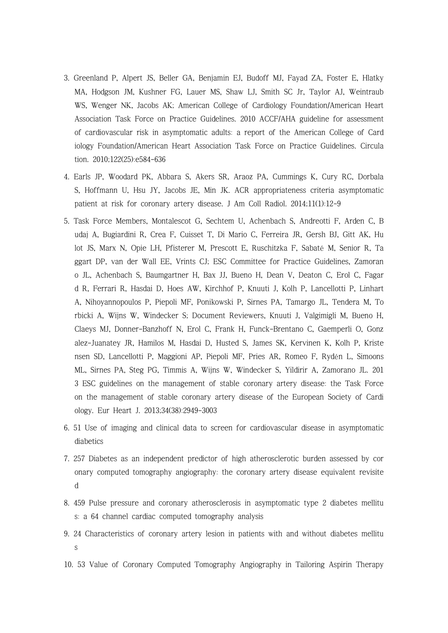- 3. Greenland P, Alpert JS, Beller GA, Benjamin EJ, Budoff MJ, Fayad ZA, Foster E, Hlatky MA, Hodgson JM, Kushner FG, Lauer MS, Shaw LJ, Smith SC Jr, Taylor AJ, Weintraub WS, Wenger NK, Jacobs AK; American College of Cardiology Foundation/American Heart Association Task Force on Practice Guidelines. 2010 ACCF/AHA guideline for assessment of cardiovascular risk in asymptomatic adults: a report of the American College of Card iology Foundation/American Heart Association Task Force on Practice Guidelines. Circula tion. 2010;122(25):e584-636
- 4. Earls JP, Woodard PK, Abbara S, Akers SR, Araoz PA, Cummings K, Cury RC, Dorbala S, Hoffmann U, Hsu JY, Jacobs JE, Min JK. ACR appropriateness criteria asymptomatic patient at risk for coronary artery disease. J Am Coll Radiol. 2014;11(1):12-9
- 5. Task Force Members, Montalescot G, Sechtem U, Achenbach S, Andreotti F, Arden C, B udaj A, Bugiardini R, Crea F, Cuisset T, Di Mario C, Ferreira JR, Gersh BJ, Gitt AK, Hu lot JS, Marx N, Opie LH, Pfisterer M, Prescott E, Ruschitzka F, Sabaté M, Senior R, Ta ggart DP, van der Wall EE, Vrints CJ; ESC Committee for Practice Guidelines, Zamoran o JL, Achenbach S, Baumgartner H, Bax JJ, Bueno H, Dean V, Deaton C, Erol C, Fagar d R, Ferrari R, Hasdai D, Hoes AW, Kirchhof P, Knuuti J, Kolh P, Lancellotti P, Linhart A, Nihoyannopoulos P, Piepoli MF, Ponikowski P, Sirnes PA, Tamargo JL, Tendera M, To rbicki A, Wijns W, Windecker S; Document Reviewers, Knuuti J, Valgimigli M, Bueno H, Claeys MJ, Donner-Banzhoff N, Erol C, Frank H, Funck-Brentano C, Gaemperli O, Gonz alez-Juanatey JR, Hamilos M, Hasdai D, Husted S, James SK, Kervinen K, Kolh P, Kriste nsen SD, Lancellotti P, Maggioni AP, Piepoli MF, Pries AR, Romeo F, Rydén L, Simoons ML, Sirnes PA, Steg PG, Timmis A, Wijns W, Windecker S, Yildirir A, Zamorano JL. 201 3 ESC guidelines on the management of stable coronary artery disease: the Task Force on the management of stable coronary artery disease of the European Society of Cardi ology. Eur Heart J. 2013;34(38):2949-3003
- 6. 51 Use of imaging and clinical data to screen for cardiovascular disease in asymptomatic diabetics
- 7. 257 Diabetes as an independent predictor of high atherosclerotic burden assessed by cor onary computed tomography angiography: the coronary artery disease equivalent revisite d
- 8. 459 Pulse pressure and coronary atherosclerosis in asymptomatic type 2 diabetes mellitu s: a 64 channel cardiac computed tomography analysis
- 9. 24 Characteristics of coronary artery lesion in patients with and without diabetes mellitu s
- 10. 53 Value of Coronary Computed Tomography Angiography in Tailoring Aspirin Therapy